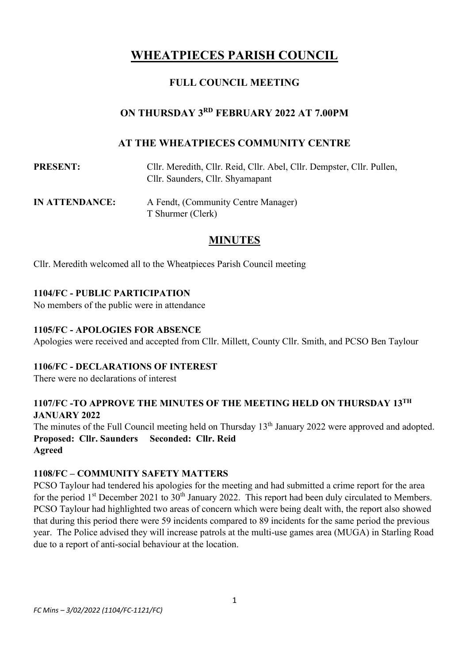# **WHEATPIECES PARISH COUNCIL**

# **FULL COUNCIL MEETING**

# **ON THURSDAY 3 RD FEBRUARY 2022 AT 7.00PM**

# **AT THE WHEATPIECES COMMUNITY CENTRE**

| <b>PRESENT:</b> | Cllr. Meredith, Cllr. Reid, Cllr. Abel, Cllr. Dempster, Cllr. Pullen,<br>Cllr. Saunders, Cllr. Shyamapant |
|-----------------|-----------------------------------------------------------------------------------------------------------|
| IN ATTENDANCE:  | A Fendt, (Community Centre Manager)<br>T Shurmer (Clerk)                                                  |
|                 | <b>MINUTES</b>                                                                                            |

Cllr. Meredith welcomed all to the Wheatpieces Parish Council meeting

# **1104/FC - PUBLIC PARTICIPATION**

No members of the public were in attendance

# **1105/FC - APOLOGIES FOR ABSENCE**

Apologies were received and accepted from Cllr. Millett, County Cllr. Smith, and PCSO Ben Taylour

# **1106/FC - DECLARATIONS OF INTEREST**

There were no declarations of interest

# **1107/FC -TO APPROVE THE MINUTES OF THE MEETING HELD ON THURSDAY 13TH JANUARY 2022**

The minutes of the Full Council meeting held on Thursday 13<sup>th</sup> January 2022 were approved and adopted. **Proposed: Cllr. Saunders Seconded: Cllr. Reid Agreed**

#### **1108/FC – COMMUNITY SAFETY MATTERS**

PCSO Taylour had tendered his apologies for the meeting and had submitted a crime report for the area for the period 1<sup>st</sup> December 2021 to 30<sup>th</sup> January 2022. This report had been duly circulated to Members. PCSO Taylour had highlighted two areas of concern which were being dealt with, the report also showed that during this period there were 59 incidents compared to 89 incidents for the same period the previous year. The Police advised they will increase patrols at the multi-use games area (MUGA) in Starling Road due to a report of anti-social behaviour at the location.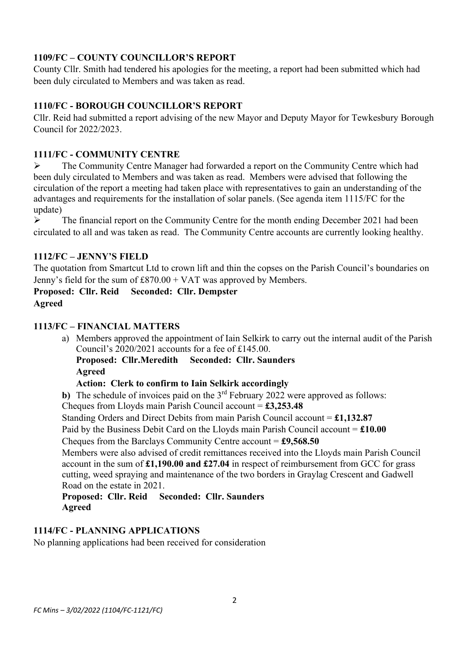# **1109/FC – COUNTY COUNCILLOR'S REPORT**

County Cllr. Smith had tendered his apologies for the meeting, a report had been submitted which had been duly circulated to Members and was taken as read.

# **1110/FC - BOROUGH COUNCILLOR'S REPORT**

Cllr. Reid had submitted a report advising of the new Mayor and Deputy Mayor for Tewkesbury Borough Council for 2022/2023.

#### **1111/FC - COMMUNITY CENTRE**

➢ The Community Centre Manager had forwarded a report on the Community Centre which had been duly circulated to Members and was taken as read. Members were advised that following the circulation of the report a meeting had taken place with representatives to gain an understanding of the advantages and requirements for the installation of solar panels. (See agenda item 1115/FC for the update)

 $\triangleright$  The financial report on the Community Centre for the month ending December 2021 had been circulated to all and was taken as read. The Community Centre accounts are currently looking healthy.

#### **1112/FC – JENNY'S FIELD**

The quotation from Smartcut Ltd to crown lift and thin the copses on the Parish Council's boundaries on Jenny's field for the sum of £870.00 + VAT was approved by Members.

**Proposed: Cllr. Reid Seconded: Cllr. Dempster Agreed**

# **1113/FC – FINANCIAL MATTERS**

a) Members approved the appointment of Iain Selkirk to carry out the internal audit of the Parish Council's 2020/2021 accounts for a fee of £145.00.

**Proposed: Cllr.Meredith Seconded: Cllr. Saunders Agreed**

# **Action: Clerk to confirm to Iain Selkirk accordingly**

**b)** The schedule of invoices paid on the  $3<sup>rd</sup>$  February 2022 were approved as follows:

Cheques from Lloyds main Parish Council account = **£3,253.48**

Standing Orders and Direct Debits from main Parish Council account = **£1,132.87**

Paid by the Business Debit Card on the Lloyds main Parish Council account = **£10.00**

Cheques from the Barclays Community Centre account = **£9,568.50**

Members were also advised of credit remittances received into the Lloyds main Parish Council account in the sum of **£1,190.00 and £27.04** in respect of reimbursement from GCC for grass cutting, weed spraying and maintenance of the two borders in Graylag Crescent and Gadwell Road on the estate in 2021.

#### **Proposed: Cllr. Reid Seconded: Cllr. Saunders Agreed**

#### **1114/FC - PLANNING APPLICATIONS**

No planning applications had been received for consideration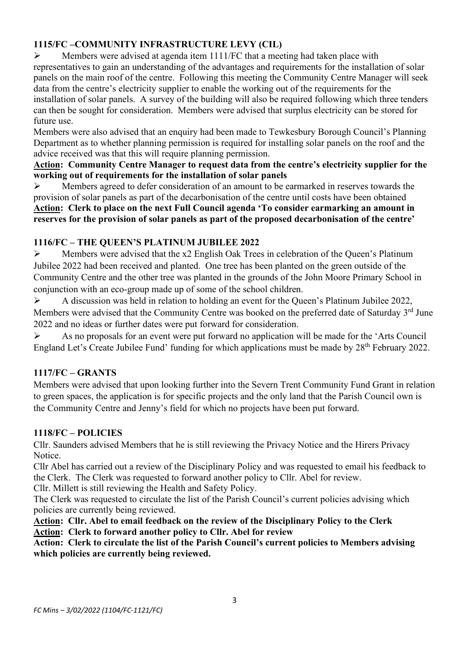# **1115/FC –COMMUNITY INFRASTRUCTURE LEVY (CIL)**

 $\triangleright$  Members were advised at agenda item 1111/FC that a meeting had taken place with representatives to gain an understanding of the advantages and requirements for the installation of solar panels on the main roof of the centre. Following this meeting the Community Centre Manager will seek data from the centre's electricity supplier to enable the working out of the requirements for the installation of solar panels. A survey of the building will also be required following which three tenders can then be sought for consideration. Members were advised that surplus electricity can be stored for future use.

Members were also advised that an enquiry had been made to Tewkesbury Borough Council's Planning Department as to whether planning permission is required for installing solar panels on the roof and the advice received was that this will require planning permission.

#### **Action: Community Centre Manager to request data from the centre's electricity supplier for the working out of requirements for the installation of solar panels**

➢ Members agreed to defer consideration of an amount to be earmarked in reserves towards the provision of solar panels as part of the decarbonisation of the centre until costs have been obtained **Action: Clerk to place on the next Full Council agenda 'To consider earmarking an amount in reserves for the provision of solar panels as part of the proposed decarbonisation of the centre'**

# **1116/FC – THE QUEEN'S PLATINUM JUBILEE 2022**

➢ Members were advised that the x2 English Oak Trees in celebration of the Queen's Platinum Jubilee 2022 had been received and planted. One tree has been planted on the green outside of the Community Centre and the other tree was planted in the grounds of the John Moore Primary School in conjunction with an eco-group made up of some of the school children.

➢ A discussion was held in relation to holding an event for the Queen's Platinum Jubilee 2022, Members were advised that the Community Centre was booked on the preferred date of Saturday 3<sup>rd</sup> June 2022 and no ideas or further dates were put forward for consideration.

➢ As no proposals for an event were put forward no application will be made for the 'Arts Council England Let's Create Jubilee Fund' funding for which applications must be made by 28<sup>th</sup> February 2022.

# **1117/FC – GRANTS**

Members were advised that upon looking further into the Severn Trent Community Fund Grant in relation to green spaces, the application is for specific projects and the only land that the Parish Council own is the Community Centre and Jenny's field for which no projects have been put forward.

# **1118/FC – POLICIES**

Cllr. Saunders advised Members that he is still reviewing the Privacy Notice and the Hirers Privacy Notice.

Cllr Abel has carried out a review of the Disciplinary Policy and was requested to email his feedback to the Clerk. The Clerk was requested to forward another policy to Cllr. Abel for review.

Cllr. Millett is still reviewing the Health and Safety Policy.

The Clerk was requested to circulate the list of the Parish Council's current policies advising which policies are currently being reviewed.

**Action: Cllr. Abel to email feedback on the review of the Disciplinary Policy to the Clerk Action: Clerk to forward another policy to Cllr. Abel for review**

# **Action: Clerk to circulate the list of the Parish Council's current policies to Members advising which policies are currently being reviewed.**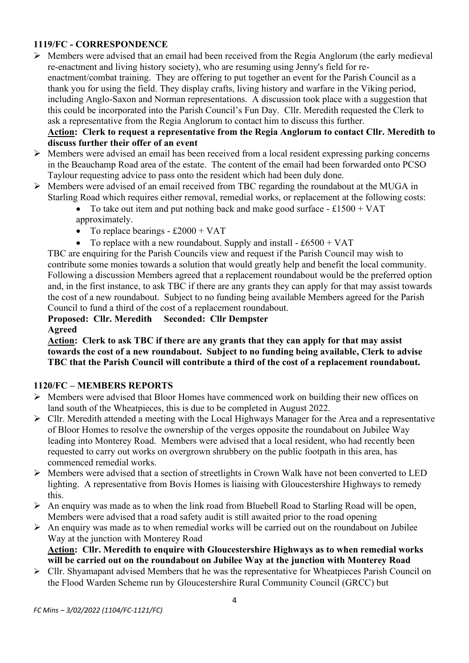# **1119/FC - CORRESPONDENCE**

➢ Members were advised that an email had been received from the Regia Anglorum (the early medieval re-enactment and living history society), who are resuming using Jenny's field for reenactment/combat training. They are offering to put together an event for the Parish Council as a thank you for using the field. They display crafts, living history and warfare in the Viking period, including Anglo-Saxon and Norman representations. A discussion took place with a suggestion that this could be incorporated into the Parish Council's Fun Day. Cllr. Meredith requested the Clerk to ask a representative from the Regia Anglorum to contact him to discuss this further.

## **Action: Clerk to request a representative from the Regia Anglorum to contact Cllr. Meredith to discuss further their offer of an event**

- ➢ Members were advised an email has been received from a local resident expressing parking concerns in the Beauchamp Road area of the estate. The content of the email had been forwarded onto PCSO Taylour requesting advice to pass onto the resident which had been duly done.
- ➢ Members were advised of an email received from TBC regarding the roundabout at the MUGA in Starling Road which requires either removal, remedial works, or replacement at the following costs:
	- To take out item and put nothing back and make good surface  $-$  £1500 + VAT approximately.
	- To replace bearings  $-$  £2000 + VAT
	- To replace with a new roundabout. Supply and install  $\pounds 6500 + \text{VAT}$

TBC are enquiring for the Parish Councils view and request if the Parish Council may wish to contribute some monies towards a solution that would greatly help and benefit the local community. Following a discussion Members agreed that a replacement roundabout would be the preferred option and, in the first instance, to ask TBC if there are any grants they can apply for that may assist towards the cost of a new roundabout. Subject to no funding being available Members agreed for the Parish Council to fund a third of the cost of a replacement roundabout.

#### **Proposed: Cllr. Meredith Seconded: Cllr Dempster Agreed**

#### **Action: Clerk to ask TBC if there are any grants that they can apply for that may assist towards the cost of a new roundabout. Subject to no funding being available, Clerk to advise TBC that the Parish Council will contribute a third of the cost of a replacement roundabout.**

#### **1120/FC – MEMBERS REPORTS**

- ➢ Members were advised that Bloor Homes have commenced work on building their new offices on land south of the Wheatpieces, this is due to be completed in August 2022.
- ➢ Cllr. Meredith attended a meeting with the Local Highways Manager for the Area and a representative of Bloor Homes to resolve the ownership of the verges opposite the roundabout on Jubilee Way leading into Monterey Road. Members were advised that a local resident, who had recently been requested to carry out works on overgrown shrubbery on the public footpath in this area, has commenced remedial works.
- ➢ Members were advised that a section of streetlights in Crown Walk have not been converted to LED lighting. A representative from Bovis Homes is liaising with Gloucestershire Highways to remedy this.
- ➢ An enquiry was made as to when the link road from Bluebell Road to Starling Road will be open, Members were advised that a road safety audit is still awaited prior to the road opening
- ➢ An enquiry was made as to when remedial works will be carried out on the roundabout on Jubilee Way at the junction with Monterey Road
	- **Action: Cllr. Meredith to enquire with Gloucestershire Highways as to when remedial works will be carried out on the roundabout on Jubilee Way at the junction with Monterey Road**
- ➢ Cllr. Shyamapant advised Members that he was the representative for Wheatpieces Parish Council on the Flood Warden Scheme run by Gloucestershire Rural Community Council (GRCC) but